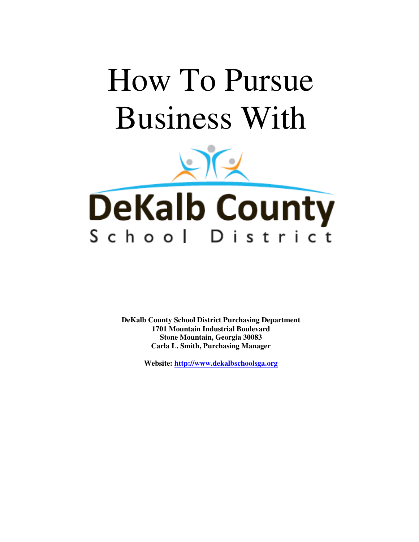# How To Pursue Business With



**DeKalb County School District Purchasing Department 1701 Mountain Industrial Boulevard Stone Mountain, Georgia 30083 Carla L. Smith, Purchasing Manager** 

**Website: http://www.dekalbschoolsga.org**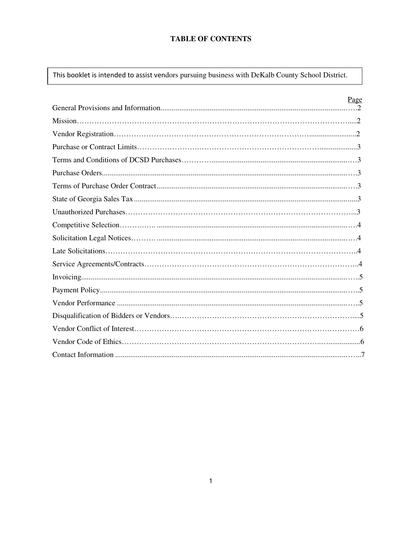# **TABLE OF CONTENTS**

This booklet is intended to assist vendors pursuing business with DeKalb County School District.

| Page |
|------|
|      |
|      |
|      |
|      |
|      |
|      |
|      |
|      |
|      |
|      |
|      |
|      |
|      |
|      |
|      |
|      |
|      |
|      |
|      |
|      |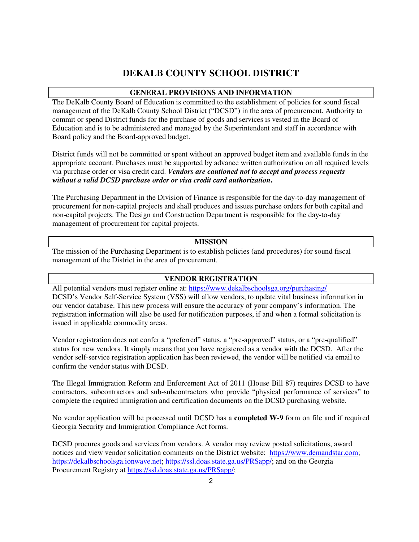# **DEKALB COUNTY SCHOOL DISTRICT**

## **GENERAL PROVISIONS AND INFORMATION**

The DeKalb County Board of Education is committed to the establishment of policies for sound fiscal management of the DeKalb County School District ("DCSD") in the area of procurement. Authority to commit or spend District funds for the purchase of goods and services is vested in the Board of Education and is to be administered and managed by the Superintendent and staff in accordance with Board policy and the Board-approved budget.

District funds will not be committed or spent without an approved budget item and available funds in the appropriate account. Purchases must be supported by advance written authorization on all required levels via purchase order or visa credit card. *Vendors are cautioned not to accept and process requests without a valid DCSD purchase order or visa credit card authorization***.** 

The Purchasing Department in the Division of Finance is responsible for the day-to-day management of procurement for non-capital projects and shall produces and issues purchase orders for both capital and non-capital projects. The Design and Construction Department is responsible for the day-to-day management of procurement for capital projects.

#### **MISSION**

The mission of the Purchasing Department is to establish policies (and procedures) for sound fiscal management of the District in the area of procurement.

#### **VENDOR REGISTRATION**

All potential vendors must register online at: https://www.dekalbschoolsga.org/purchasing/ DCSD's Vendor Self-Service System (VSS) will allow vendors, to update vital business information in our vendor database. This new process will ensure the accuracy of your company's information. The registration information will also be used for notification purposes, if and when a formal solicitation is issued in applicable commodity areas.

Vendor registration does not confer a "preferred" status, a "pre-approved" status, or a "pre-qualified" status for new vendors. It simply means that you have registered as a vendor with the DCSD. After the vendor self-service registration application has been reviewed, the vendor will be notified via email to confirm the vendor status with DCSD.

The Illegal Immigration Reform and Enforcement Act of 2011 (House Bill 87) requires DCSD to have contractors, subcontractors and sub-subcontractors who provide "physical performance of services" to complete the required immigration and certification documents on the DCSD purchasing website.

No vendor application will be processed until DCSD has a **completed W-9** form on file and if required Georgia Security and Immigration Compliance Act forms.

DCSD procures goods and services from vendors. A vendor may review posted solicitations, award notices and view vendor solicitation comments on the District website: https://www.demandstar.com; https://dekalbschoolsga.ionwave.net; https://ssl.doas.state.ga.us/PRSapp/; and on the Georgia Procurement Registry at https://ssl.doas.state.ga.us/PRSapp/;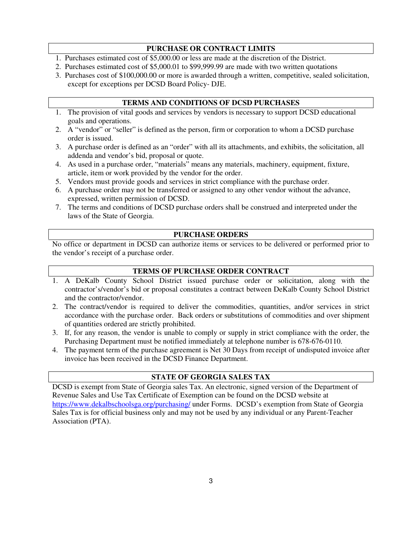# **PURCHASE OR CONTRACT LIMITS**

- 1. Purchases estimated cost of \$5,000.00 or less are made at the discretion of the District.
- 2. Purchases estimated cost of \$5,000.01 to \$99,999.99 are made with two written quotations
- 3. Purchases cost of \$100,000.00 or more is awarded through a written, competitive, sealed solicitation, except for exceptions per DCSD Board Policy- DJE.

# **TERMS AND CONDITIONS OF DCSD PURCHASES**

- 1. The provision of vital goods and services by vendors is necessary to support DCSD educational goals and operations.
- 2. A "vendor" or "seller" is defined as the person, firm or corporation to whom a DCSD purchase order is issued.
- 3. A purchase order is defined as an "order" with all its attachments, and exhibits, the solicitation, all addenda and vendor's bid, proposal or quote.
- 4. As used in a purchase order, "materials" means any materials, machinery, equipment, fixture, article, item or work provided by the vendor for the order.
- 5. Vendors must provide goods and services in strict compliance with the purchase order.
- 6. A purchase order may not be transferred or assigned to any other vendor without the advance, expressed, written permission of DCSD.
- 7. The terms and conditions of DCSD purchase orders shall be construed and interpreted under the laws of the State of Georgia.

#### **PURCHASE ORDERS**

No office or department in DCSD can authorize items or services to be delivered or performed prior to the vendor's receipt of a purchase order.

# **TERMS OF PURCHASE ORDER CONTRACT**

- 1. A DeKalb County School District issued purchase order or solicitation, along with the contractor's/vendor's bid or proposal constitutes a contract between DeKalb County School District and the contractor/vendor.
- 2. The contract/vendor is required to deliver the commodities, quantities, and/or services in strict accordance with the purchase order. Back orders or substitutions of commodities and over shipment of quantities ordered are strictly prohibited.
- 3. If, for any reason, the vendor is unable to comply or supply in strict compliance with the order, the Purchasing Department must be notified immediately at telephone number is 678-676-0110.
- 4. The payment term of the purchase agreement is Net 30 Days from receipt of undisputed invoice after invoice has been received in the DCSD Finance Department.

# **STATE OF GEORGIA SALES TAX**

DCSD is exempt from State of Georgia sales Tax. An electronic, signed version of the Department of Revenue Sales and Use Tax Certificate of Exemption can be found on the DCSD website at https://www.dekalbschoolsga.org/purchasing/ under Forms. DCSD's exemption from State of Georgia Sales Tax is for official business only and may not be used by any individual or any Parent-Teacher Association (PTA).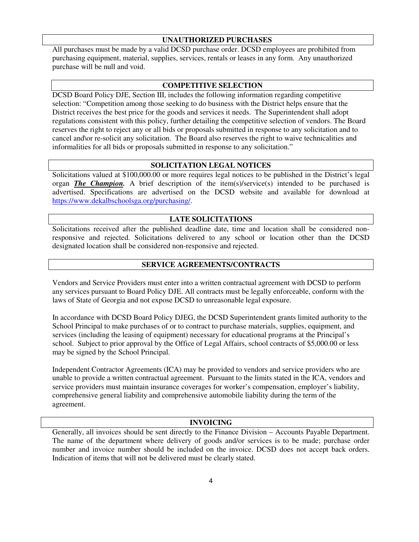#### **UNAUTHORIZED PURCHASES**

All purchases must be made by a valid DCSD purchase order. DCSD employees are prohibited from purchasing equipment, material, supplies, services, rentals or leases in any form. Any unauthorized purchase will be null and void.

#### **COMPETITIVE SELECTION**

DCSD Board Policy DJE, Section III, includes the following information regarding competitive selection: "Competition among those seeking to do business with the District helps ensure that the District receives the best price for the goods and services it needs. The Superintendent shall adopt regulations consistent with this policy, further detailing the competitive selection of vendors. The Board reserves the right to reject any or all bids or proposals submitted in response to any solicitation and to cancel and\or re-solicit any solicitation. The Board also reserves the right to waive technicalities and informalities for all bids or proposals submitted in response to any solicitation."

#### **SOLICITATION LEGAL NOTICES**

Solicitations valued at \$100,000.00 or more requires legal notices to be published in the District's legal organ *The Champion.* A brief description of the item(s)/service(s) intended to be purchased is advertised. Specifications are advertised on the DCSD website and available for download at https://www.dekalbschoolsga.org/purchasing/.

#### **LATE SOLICITATIONS**

Solicitations received after the published deadline date, time and location shall be considered nonresponsive and rejected. Solicitations delivered to any school or location other than the DCSD designated location shall be considered non-responsive and rejected.

#### **SERVICE AGREEMENTS/CONTRACTS**

Vendors and Service Providers must enter into a written contractual agreement with DCSD to perform any services pursuant to Board Policy DJE. All contracts must be legally enforceable, conform with the laws of State of Georgia and not expose DCSD to unreasonable legal exposure.

In accordance with DCSD Board Policy DJEG, the DCSD Superintendent grants limited authority to the School Principal to make purchases of or to contract to purchase materials, supplies, equipment, and services (including the leasing of equipment) necessary for educational programs at the Principal's school. Subject to prior approval by the Office of Legal Affairs, school contracts of \$5,000.00 or less may be signed by the School Principal.

Independent Contractor Agreements (ICA) may be provided to vendors and service providers who are unable to provide a written contractual agreement. Pursuant to the limits stated in the ICA, vendors and service providers must maintain insurance coverages for worker's compensation, employer's liability, comprehensive general liability and comprehensive automobile liability during the term of the agreement.

#### **INVOICING**

Generally, all invoices should be sent directly to the Finance Division – Accounts Payable Department. The name of the department where delivery of goods and/or services is to be made; purchase order number and invoice number should be included on the invoice. DCSD does not accept back orders. Indication of items that will not be delivered must be clearly stated.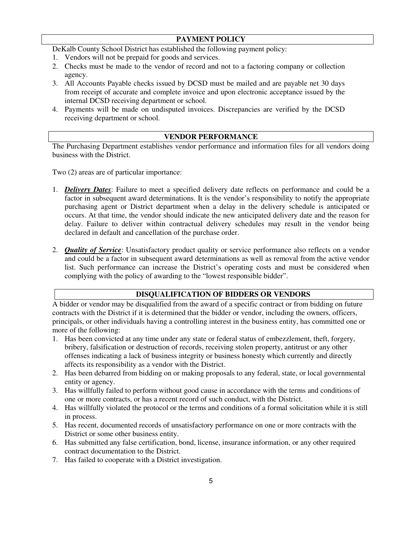# **PAYMENT POLICY**

DeKalb County School District has established the following payment policy:

- 1. Vendors will not be prepaid for goods and services.
- 2. Checks must be made to the vendor of record and not to a factoring company or collection agency.
- 3. All Accounts Payable checks issued by DCSD must be mailed and are payable net 30 days from receipt of accurate and complete invoice and upon electronic acceptance issued by the internal DCSD receiving department or school.
- 4. Payments will be made on undisputed invoices. Discrepancies are verified by the DCSD receiving department or school.

## **VENDOR PERFORMANCE**

The Purchasing Department establishes vendor performance and information files for all vendors doing business with the District.

Two (2) areas are of particular importance:

- 1. *Delivery Dates*: Failure to meet a specified delivery date reflects on performance and could be a factor in subsequent award determinations. It is the vendor's responsibility to notify the appropriate purchasing agent or District department when a delay in the delivery schedule is anticipated or occurs. At that time, the vendor should indicate the new anticipated delivery date and the reason for delay. Failure to deliver within contractual delivery schedules may result in the vendor being declared in default and cancellation of the purchase order.
- 2. *Quality of Service*: Unsatisfactory product quality or service performance also reflects on a vendor and could be a factor in subsequent award determinations as well as removal from the active vendor list. Such performance can increase the District's operating costs and must be considered when complying with the policy of awarding to the "lowest responsible bidder".

# **DISQUALIFICATION OF BIDDERS OR VENDORS**

A bidder or vendor may be disqualified from the award of a specific contract or from bidding on future contracts with the District if it is determined that the bidder or vendor, including the owners, officers, principals, or other individuals having a controlling interest in the business entity, has committed one or more of the following:

- 1. Has been convicted at any time under any state or federal status of embezzlement, theft, forgery, bribery, falsification or destruction of records, receiving stolen property, antitrust or any other offenses indicating a lack of business integrity or business honesty which currently and directly affects its responsibility as a vendor with the District.
- 2. Has been debarred from bidding on or making proposals to any federal, state, or local governmental entity or agency.
- 3. Has willfully failed to perform without good cause in accordance with the terms and conditions of one or more contracts, or has a recent record of such conduct, with the District.
- 4. Has willfully violated the protocol or the terms and conditions of a formal solicitation while it is still in process.
- 5. Has recent, documented records of unsatisfactory performance on one or more contracts with the District or some other business entity.
- 6. Has submitted any false certification, bond, license, insurance information, or any other required contract documentation to the District.
- 7. Has failed to cooperate with a District investigation.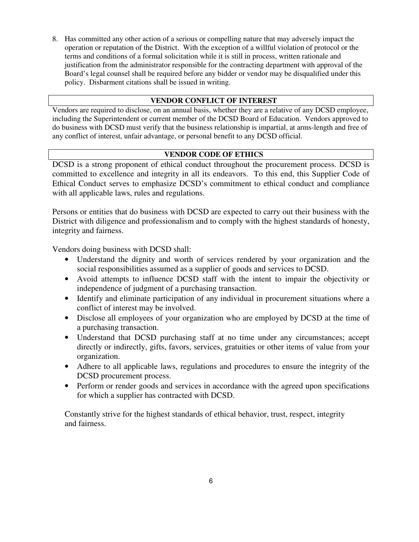8. Has committed any other action of a serious or compelling nature that may adversely impact the operation or reputation of the District.With the exception of a willful violation of protocol or the terms and conditions of a formal solicitation while it is still in process, written rationale and justification from the administrator responsible for the contracting department with approval of the Board's legal counsel shall be required before any bidder or vendor may be disqualified under this policy. Disbarment citations shall be issued in writing.

# **VENDOR CONFLICT OF INTEREST**

Vendors are required to disclose, on an annual basis, whether they are a relative of any DCSD employee, including the Superintendent or current member of the DCSD Board of Education. Vendors approved to do business with DCSD must verify that the business relationship is impartial, at arms-length and free of any conflict of interest, unfair advantage, or personal benefit to any DCSD official.

# **VENDOR CODE OF ETHICS**

DCSD is a strong proponent of ethical conduct throughout the procurement process. DCSD is committed to excellence and integrity in all its endeavors. To this end, this Supplier Code of Ethical Conduct serves to emphasize DCSD's commitment to ethical conduct and compliance with all applicable laws, rules and regulations.

Persons or entities that do business with DCSD are expected to carry out their business with the District with diligence and professionalism and to comply with the highest standards of honesty, integrity and fairness.

Vendors doing business with DCSD shall:

- Understand the dignity and worth of services rendered by your organization and the social responsibilities assumed as a supplier of goods and services to DCSD.
- Avoid attempts to influence DCSD staff with the intent to impair the objectivity or independence of judgment of a purchasing transaction.
- Identify and eliminate participation of any individual in procurement situations where a conflict of interest may be involved.
- Disclose all employees of your organization who are employed by DCSD at the time of a purchasing transaction.
- Understand that DCSD purchasing staff at no time under any circumstances; accept directly or indirectly, gifts, favors, services, gratuities or other items of value from your organization.
- Adhere to all applicable laws, regulations and procedures to ensure the integrity of the DCSD procurement process.
- Perform or render goods and services in accordance with the agreed upon specifications for which a supplier has contracted with DCSD.

Constantly strive for the highest standards of ethical behavior, trust, respect, integrity and fairness.